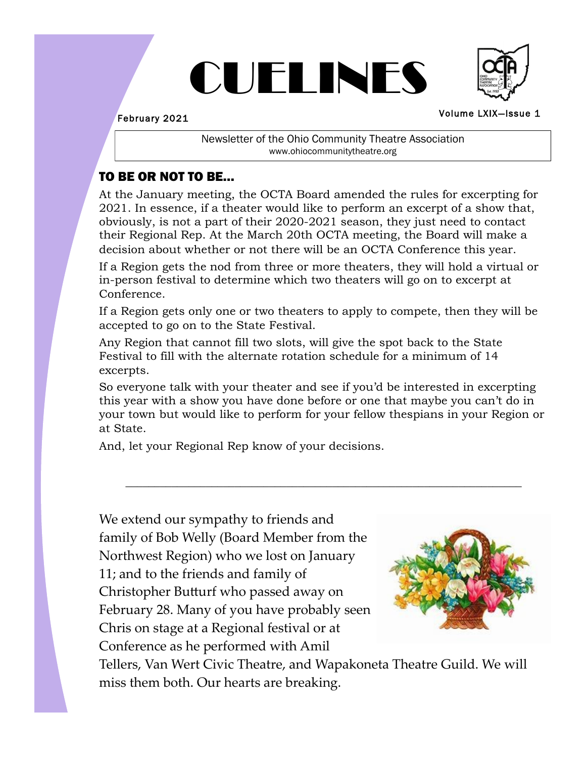# CUELINES



February 2021

Volume LXIX—Issue 1

Newsletter of the Ohio Community Theatre Association www.ohiocommunitytheatre.org

# TO BE OR NOT TO BE…

At the January meeting, the OCTA Board amended the rules for excerpting for 2021. In essence, if a theater would like to perform an excerpt of a show that, obviously, is not a part of their 2020-2021 season, they just need to contact their Regional Rep. At the March 20th OCTA meeting, the Board will make a decision about whether or not there will be an OCTA Conference this year.

If a Region gets the nod from three or more theaters, they will hold a virtual or in-person festival to determine which two theaters will go on to excerpt at Conference.

If a Region gets only one or two theaters to apply to compete, then they will be accepted to go on to the State Festival.

Any Region that cannot fill two slots, will give the spot back to the State Festival to fill with the alternate rotation schedule for a minimum of 14 excerpts.

So everyone talk with your theater and see if you'd be interested in excerpting this year with a show you have done before or one that maybe you can't do in your town but would like to perform for your fellow thespians in your Region or at State.

\_\_\_\_\_\_\_\_\_\_\_\_\_\_\_\_\_\_\_\_\_\_\_\_\_\_\_\_\_\_\_\_\_\_\_\_\_\_\_\_\_\_\_\_\_\_\_\_\_\_\_\_\_\_\_\_\_\_\_\_\_\_\_\_\_\_\_\_\_

And, let your Regional Rep know of your decisions.

We extend our sympathy to friends and family of Bob Welly (Board Member from the Northwest Region) who we lost on January 11; and to the friends and family of Christopher Butturf who passed away on February 28. Many of you have probably seen Chris on stage at a Regional festival or at Conference as he performed with Amil



Tellers, Van Wert Civic Theatre, and Wapakoneta Theatre Guild. We will miss them both. Our hearts are breaking.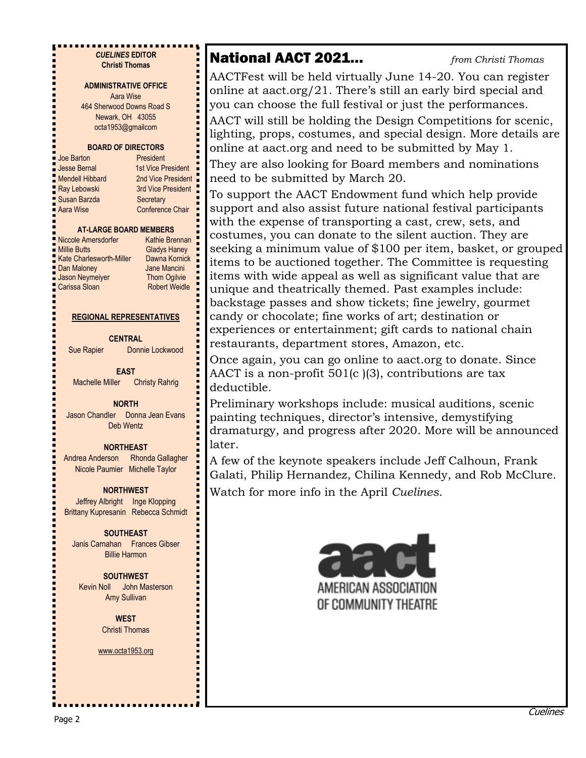*CUELINES* **EDITOR Christi Thomas**

#### **ADMINISTRATIVE OFFICE**

Aara Wise 464 Sherwood Downs Road S Newark, OH 43055 octa1953@gmailcom

#### **BOARD OF DIRECTORS**

| Joe Barton             | President               |
|------------------------|-------------------------|
| <b>Jesse Bernal</b>    | 1st Vice President      |
| <b>Mendell Hibbard</b> | 2nd Vice President      |
| Ray Lebowski           | 3rd Vice President      |
| Susan Barzda           | Secretary               |
| Aara Wise              | <b>Conference Chair</b> |
|                        |                         |

#### **AT-LARGE BOARD MEMBERS**

| <b>Niccole Amersdorfer</b>      | <b>Kathie Brennan</b> |
|---------------------------------|-----------------------|
| Millie Butts                    | <b>Gladys Haney</b>   |
| <b>Kate Charlesworth-Miller</b> | Dawna Kornick         |
| <b>Dan Maloney</b>              | Jane Mancini          |
| Jason Neymeiyer                 | <b>Thom Ogilvie</b>   |
| `≀arissa Sloan                  | Robert Weidle         |

#### dys Haney wna Kornick le Mancini om Ogilvie bert Weidle

#### **REGIONAL REPRESENTATIVES**

**CENTRAL**

Sue Rapier Donnie Lockwood

**EAST** Machelle Miller Christy Rahrig

**NORTH**

Jason Chandler Donna Jean Evans Deb Wentz

## **NORTHEAST**

Andrea Anderson Rhonda Gallagher Nicole Paumier Michelle Taylor

## **NORTHWEST**

Jeffrey Albright Inge Klopping Brittany Kupresanin Rebecca Schmidt

# **SOUTHEAST**

Janis Carnahan Frances Gibser Billie Harmon

# **SOUTHWEST**

Kevin Noll John Masterson Amy Sullivan

## **WEST** Christi Thomas

#### www.octa1953.org

# National AACT 2021… *from Christi Thomas*

AACTFest will be held virtually June 14-20. You can register online at aact.org/21. There's still an early bird special and you can choose the full festival or just the performances. AACT will still be holding the Design Competitions for scenic, lighting, props, costumes, and special design. More details are online at aact.org and need to be submitted by May 1. They are also looking for Board members and nominations need to be submitted by March 20.

To support the AACT Endowment fund which help provide support and also assist future national festival participants with the expense of transporting a cast, crew, sets, and costumes, you can donate to the silent auction. They are seeking a minimum value of \$100 per item, basket, or grouped items to be auctioned together. The Committee is requesting items with wide appeal as well as significant value that are unique and theatrically themed. Past examples include: backstage passes and show tickets; fine jewelry, gourmet candy or chocolate; fine works of art; destination or experiences or entertainment; gift cards to national chain restaurants, department stores, Amazon, etc.

Once again, you can go online to aact.org to donate. Since AACT is a non-profit  $501(c)$  (3), contributions are tax deductible.

Preliminary workshops include: musical auditions, scenic painting techniques, director's intensive, demystifying dramaturgy, and progress after 2020. More will be announced later.

A few of the keynote speakers include Jeff Calhoun, Frank Galati, Philip Hernandez, Chilina Kennedy, and Rob McClure. Watch for more info in the April *Cuelines*.

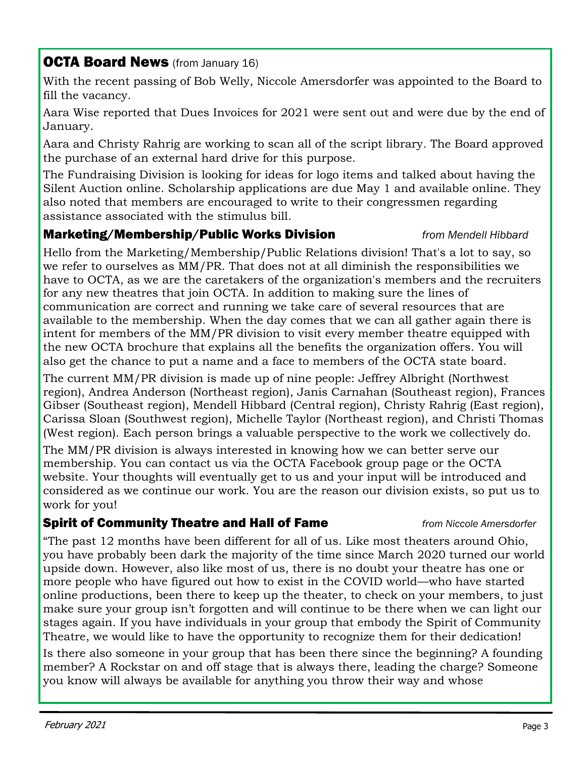# **OCTA Board News** (from January 16)

With the recent passing of Bob Welly, Niccole Amersdorfer was appointed to the Board to fill the vacancy.

Aara Wise reported that Dues Invoices for 2021 were sent out and were due by the end of January.

Aara and Christy Rahrig are working to scan all of the script library. The Board approved the purchase of an external hard drive for this purpose.

The Fundraising Division is looking for ideas for logo items and talked about having the Silent Auction online. Scholarship applications are due May 1 and available online. They also noted that members are encouraged to write to their congressmen regarding assistance associated with the stimulus bill.

# Marketing/Membership/Public Works Division *from Mendell Hibbard*

Hello from the Marketing/Membership/Public Relations division! That's a lot to say, so we refer to ourselves as MM/PR. That does not at all diminish the responsibilities we have to OCTA, as we are the caretakers of the organization's members and the recruiters for any new theatres that join OCTA. In addition to making sure the lines of communication are correct and running we take care of several resources that are available to the membership. When the day comes that we can all gather again there is intent for members of the MM/PR division to visit every member theatre equipped with the new OCTA brochure that explains all the benefits the organization offers. You will also get the chance to put a name and a face to members of the OCTA state board.

The current MM/PR division is made up of nine people: Jeffrey Albright (Northwest region), Andrea Anderson (Northeast region), Janis Carnahan (Southeast region), Frances Gibser (Southeast region), Mendell Hibbard (Central region), Christy Rahrig (East region), Carissa Sloan (Southwest region), Michelle Taylor (Northeast region), and Christi Thomas (West region). Each person brings a valuable perspective to the work we collectively do.

The MM/PR division is always interested in knowing how we can better serve our membership. You can contact us via the OCTA Facebook group page or the OCTA website. Your thoughts will eventually get to us and your input will be introduced and considered as we continue our work. You are the reason our division exists, so put us to work for you!

# Spirit of Community Theatre and Hall of Fame *from Niccole Amersdorfer*

"The past 12 months have been different for all of us. Like most theaters around Ohio, you have probably been dark the majority of the time since March 2020 turned our world upside down. However, also like most of us, there is no doubt your theatre has one or more people who have figured out how to exist in the COVID world—who have started online productions, been there to keep up the theater, to check on your members, to just make sure your group isn't forgotten and will continue to be there when we can light our stages again. If you have individuals in your group that embody the Spirit of Community Theatre, we would like to have the opportunity to recognize them for their dedication!

Is there also someone in your group that has been there since the beginning? A founding member? A Rockstar on and off stage that is always there, leading the charge? Someone you know will always be available for anything you throw their way and whose